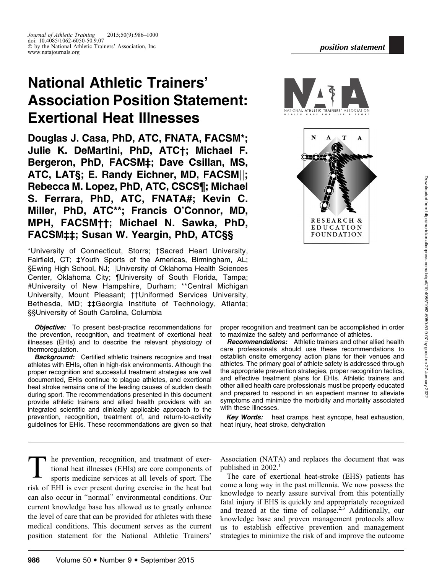# National Athletic Trainers' Association Position Statement: Exertional Heat Illnesses

Douglas J. Casa, PhD, ATC, FNATA, FACSM\*; Julie K. DeMartini, PhD, ATC†; Michael F. Bergeron, PhD, FACSM‡; Dave Csillan, MS, ATC, LATS; E. Randy Eichner, MD, FACSM||; Rebecca M. Lopez, PhD, ATC, CSCS¶; Michael S. Ferrara, PhD, ATC, FNATA#; Kevin C. Miller, PhD, ATC\*\*; Francis O'Connor, MD, MPH, FACSM††; Michael N. Sawka, PhD, FACSM‡‡; Susan W. Yeargin, PhD, ATC§§

\*University of Connecticut, Storrs; †Sacred Heart University, Fairfield, CT; ‡Youth Sports of the Americas, Birmingham, AL; §Ewing High School, NJ; ||University of Oklahoma Health Sciences Center, Oklahoma City; ¶University of South Florida, Tampa; #University of New Hampshire, Durham; \*\*Central Michigan University, Mount Pleasant; ††Uniformed Services University, Bethesda, MD; ‡‡Georgia Institute of Technology, Atlanta; §§University of South Carolina, Columbia

**Objective:** To present best-practice recommendations for the prevention, recognition, and treatment of exertional heat illnesses (EHIs) and to describe the relevant physiology of thermoregulation.

**Background:** Certified athletic trainers recognize and treat athletes with EHIs, often in high-risk environments. Although the proper recognition and successful treatment strategies are well documented, EHIs continue to plague athletes, and exertional heat stroke remains one of the leading causes of sudden death during sport. The recommendations presented in this document provide athletic trainers and allied health providers with an integrated scientific and clinically applicable approach to the prevention, recognition, treatment of, and return-to-activity guidelines for EHIs. These recommendations are given so that

The prevention, recognition, and treatment of exertional heat illnesses (EHIs) are core components of sports medicine services at all levels of sport. The tional heat illnesses (EHIs) are core components of risk of EHI is ever present during exercise in the heat but can also occur in ''normal'' environmental conditions. Our current knowledge base has allowed us to greatly enhance the level of care that can be provided for athletes with these medical conditions. This document serves as the current position statement for the National Athletic Trainers'



proper recognition and treatment can be accomplished in order to maximize the safety and performance of athletes.

Recommendations: Athletic trainers and other allied health care professionals should use these recommendations to establish onsite emergency action plans for their venues and athletes. The primary goal of athlete safety is addressed through the appropriate prevention strategies, proper recognition tactics, and effective treatment plans for EHIs. Athletic trainers and other allied health care professionals must be properly educated and prepared to respond in an expedient manner to alleviate symptoms and minimize the morbidity and mortality associated with these illnesses.

Key Words: heat cramps, heat syncope, heat exhaustion, heat injury, heat stroke, dehydration

Association (NATA) and replaces the document that was published in 2002.<sup>1</sup>

The care of exertional heat-stroke (EHS) patients has come a long way in the past millennia. We now possess the knowledge to nearly assure survival from this potentially fatal injury if EHS is quickly and appropriately recognized and treated at the time of collapse.<sup>2,3</sup> Additionally, our knowledge base and proven management protocols allow us to establish effective prevention and management strategies to minimize the risk of and improve the outcome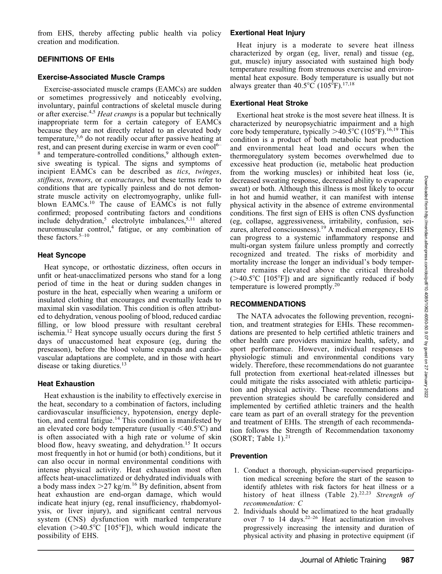from EHS, thereby affecting public health via policy **Exertional Heat Injury** creation and modification.

# DEFINITIONS OF EHIs

#### Exercise-Associated Muscle Cramps

Exercise-associated muscle cramps (EAMCs) are sudden or sometimes progressively and noticeably evolving, involuntary, painful contractions of skeletal muscle during or after exercise.<sup>4,5</sup> Heat cramps is a popular but technically inappropriate term for a certain category of EAMCs because they are not directly related to an elevated body temperature,5,6 do not readily occur after passive heating at rest, and can present during exercise in warm or even cool<sup>6–</sup> <sup>8</sup> and temperature-controlled conditions,<sup>9</sup> although extensive sweating is typical. The signs and symptoms of incipient EAMCs can be described as *tics*, *twinges*, stiffness, tremors, or contractures, but these terms refer to conditions that are typically painless and do not demonstrate muscle activity on electromyography, unlike fullblown EAMCs.<sup>10</sup> The cause of EAMCs is not fully confirmed; proposed contributing factors and conditions include dehydration,<sup>5</sup> electrolyte imbalances,<sup>5,11</sup> altered neuromuscular control,<sup>4</sup> fatigue, or any combination of these factors. $5-10$ 

#### Heat Syncope

Heat syncope, or orthostatic dizziness, often occurs in unfit or heat-unacclimatized persons who stand for a long period of time in the heat or during sudden changes in posture in the heat, especially when wearing a uniform or insulated clothing that encourages and eventually leads to maximal skin vasodilation. This condition is often attributed to dehydration, venous pooling of blood, reduced cardiac filling, or low blood pressure with resultant cerebral ischemia.<sup>12</sup> Heat syncope usually occurs during the first 5 days of unaccustomed heat exposure (eg, during the preseason), before the blood volume expands and cardiovascular adaptations are complete, and in those with heart disease or taking diuretics.<sup>13</sup>

#### Heat Exhaustion

Heat exhaustion is the inability to effectively exercise in the heat, secondary to a combination of factors, including cardiovascular insufficiency, hypotension, energy depletion, and central fatigue.<sup>14</sup> This condition is manifested by an elevated core body temperature (usually  $\leq 40.5^{\circ}$ C) and is often associated with a high rate or volume of skin blood flow, heavy sweating, and dehydration.<sup>15</sup> It occurs most frequently in hot or humid (or both) conditions, but it can also occur in normal environmental conditions with intense physical activity. Heat exhaustion most often affects heat-unacclimatized or dehydrated individuals with a body mass index  $>27$  kg/m.<sup>16</sup> By definition, absent from heat exhaustion are end-organ damage, which would indicate heat injury (eg, renal insufficiency, rhabdomyolysis, or liver injury), and significant central nervous system (CNS) dysfunction with marked temperature elevation  $(>40.5^{\circ}C$  [105<sup>°</sup>F]), which would indicate the possibility of EHS.

Heat injury is a moderate to severe heat illness characterized by organ (eg, liver, renal) and tissue (eg, gut, muscle) injury associated with sustained high body temperature resulting from strenuous exercise and environmental heat exposure. Body temperature is usually but not always greater than  $40.5^{\circ}$ C (105 $^{\circ}$ F).<sup>17,18</sup>

#### Exertional Heat Stroke

Exertional heat stroke is the most severe heat illness. It is characterized by neuropsychiatric impairment and a high core body temperature, typically  $>40.5^{\circ}$ C (105°F).<sup>16,19</sup> This condition is a product of both metabolic heat production and environmental heat load and occurs when the thermoregulatory system becomes overwhelmed due to excessive heat production (ie, metabolic heat production from the working muscles) or inhibited heat loss (ie, decreased sweating response, decreased ability to evaporate sweat) or both. Although this illness is most likely to occur in hot and humid weather, it can manifest with intense physical activity in the absence of extreme environmental conditions. The first sign of EHS is often CNS dysfunction (eg, collapse, aggressiveness, irritability, confusion, seizures, altered consciousness).19 A medical emergency, EHS can progress to a systemic inflammatory response and multi-organ system failure unless promptly and correctly recognized and treated. The risks of morbidity and mortality increase the longer an individual's body temperature remains elevated above the critical threshold  $(>40.5^{\circ}C$  [105°F]) and are significantly reduced if body temperature is lowered promptly.20

#### RECOMMENDATIONS

The NATA advocates the following prevention, recognition, and treatment strategies for EHIs. These recommendations are presented to help certified athletic trainers and other health care providers maximize health, safety, and sport performance. However, individual responses to physiologic stimuli and environmental conditions vary widely. Therefore, these recommendations do not guarantee full protection from exertional heat-related illnesses but could mitigate the risks associated with athletic participation and physical activity. These recommendations and prevention strategies should be carefully considered and implemented by certified athletic trainers and the health care team as part of an overall strategy for the prevention and treatment of EHIs. The strength of each recommendation follows the Strength of Recommendation taxonomy (SORT; Table 1). $21$ 

#### Prevention

- 1. Conduct a thorough, physician-supervised preparticipation medical screening before the start of the season to identify athletes with risk factors for heat illness or a history of heat illness (Table 2).<sup>22,23</sup> Strength of recommendation: C
- 2. Individuals should be acclimatized to the heat gradually over 7 to 14 days.<sup>22–26</sup> Heat acclimatization involves progressively increasing the intensity and duration of physical activity and phasing in protective equipment (if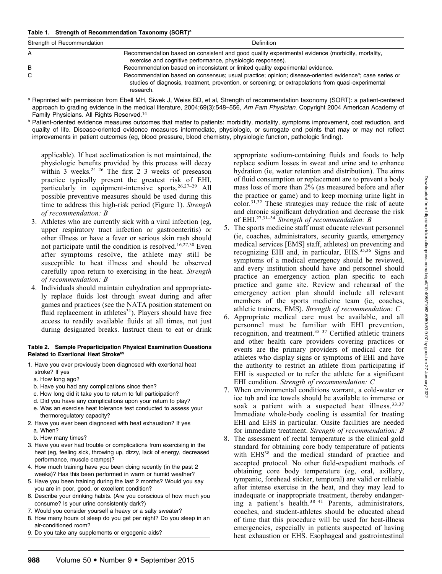#### Table 1. Strength of Recommendation Taxonomy (SORT)<sup>a</sup>

| Strength of Recommendation | <b>Definition</b>                                                                                                                                                                                                                                                                                                          |
|----------------------------|----------------------------------------------------------------------------------------------------------------------------------------------------------------------------------------------------------------------------------------------------------------------------------------------------------------------------|
| А                          | Recommendation based on consistent and good quality experimental evidence (morbidity, mortality,<br>exercise and cognitive performance, physiologic responses).                                                                                                                                                            |
| в<br>C                     | Recommendation based on inconsistent or limited quality experimental evidence.<br>Recommendation based on consensus; usual practice; opinion; disease-oriented evidence <sup>b</sup> ; case series or<br>studies of diagnosis, treatment, prevention, or screening; or extrapolations from quasi-experimental<br>research. |
|                            | $\mathbb{R}$ . The state of the state of the state of the state of the state of the state of the state of the state of the state of the state of the state of the state of the state of the state of the state of the state of th<br>$\sim$ $\sim$ $\sim$ $\sim$ $\sim$ $\sim$                                             |

<sup>a</sup> Reprinted with permission from Ebell MH, Siwek J, Weiss BD, et al, Strength of recommendation taxonomy (SORT): a patient-centered approach to grading evidence in the medical literature, 2004;69(3):548-556, Am Fam Physician. Copyright 2004 American Academy of Family Physicians. All Rights Reserved.<sup>14</sup>

**b** Patient-oriented evidence measures outcomes that matter to patients: morbidity, mortality, symptoms improvement, cost reduction, and quality of life. Disease-oriented evidence measures intermediate, physiologic, or surrogate end points that may or may not reflect improvements in patient outcomes (eg, blood pressure, blood chemistry, physiologic function, pathologic finding).

applicable). If heat acclimatization is not maintained, the physiologic benefits provided by this process will decay within 3 weeks. $24-26$  The first 2–3 weeks of preseason practice typically present the greatest risk of EHI, particularly in equipment-intensive sports.<sup>26,27-29</sup> All possible preventive measures should be used during this time to address this high-risk period (Figure 1). Strength of recommendation: B

- 3. Athletes who are currently sick with a viral infection (eg, upper respiratory tract infection or gastroenteritis) or other illness or have a fever or serious skin rash should not participate until the condition is resolved.<sup>16,27,30</sup> Even after symptoms resolve, the athlete may still be susceptible to heat illness and should be observed carefully upon return to exercising in the heat. Strength of recommendation: B
- 4. Individuals should maintain euhydration and appropriately replace fluids lost through sweat during and after games and practices (see the NATA position statement on fluid replacement in athletes $31$ ). Players should have free access to readily available fluids at all times, not just during designated breaks. Instruct them to eat or drink

#### Table 2. Sample Preparticipation Physical Examination Questions Related to Exertional Heat Stroke<sup>69</sup>

- 1. Have you ever previously been diagnosed with exertional heat stroke? If yes
	- a. How long ago?
	- b. Have you had any complications since then?
	- c. How long did it take you to return to full participation?
	- d. Did you have any complications upon your return to play?
	- e. Was an exercise heat tolerance test conducted to assess your thermoregulatory capacity?
- 2. Have you ever been diagnosed with heat exhaustion? If yes a. When?
	- b. How many times?
- 3. Have you ever had trouble or complications from exercising in the heat (eg, feeling sick, throwing up, dizzy, lack of energy, decreased performance, muscle cramps)?
- 4. How much training have you been doing recently (in the past 2 weeks)? Has this been performed in warm or humid weather?
- 5. Have you been training during the last 2 months? Would you say you are in poor, good, or excellent condition?
- 6. Describe your drinking habits. (Are you conscious of how much you consume? Is your urine consistently dark?)
- 7. Would you consider yourself a heavy or a salty sweater?
- 8. How many hours of sleep do you get per night? Do you sleep in an air-conditioned room?
- 9. Do you take any supplements or ergogenic aids?

appropriate sodium-containing fluids and foods to help replace sodium losses in sweat and urine and to enhance hydration (ie, water retention and distribution). The aims of fluid consumption or replacement are to prevent a body mass loss of more than 2% (as measured before and after the practice or game) and to keep morning urine light in color.31,32 These strategies may reduce the risk of acute and chronic significant dehydration and decrease the risk of EHI.<sup>27,31–34</sup> Strength of recommendation: B

- 5. The sports medicine staff must educate relevant personnel (ie, coaches, administrators, security guards, emergency medical services [EMS] staff, athletes) on preventing and recognizing EHI and, in particular,  $E$ HS.<sup>35,36</sup> Signs and symptoms of a medical emergency should be reviewed, and every institution should have and personnel should practice an emergency action plan specific to each practice and game site. Review and rehearsal of the emergency action plan should include all relevant members of the sports medicine team (ie, coaches, athletic trainers, EMS). Strength of recommendation: C
- 6. Appropriate medical care must be available, and all personnel must be familiar with EHI prevention, recognition, and treatment. $35-37$  Certified athletic trainers and other health care providers covering practices or events are the primary providers of medical care for athletes who display signs or symptoms of EHI and have the authority to restrict an athlete from participating if EHI is suspected or to refer the athlete for a significant EHI condition. Strength of recommendation: C
- 7. When environmental conditions warrant, a cold-water or ice tub and ice towels should be available to immerse or soak a patient with a suspected heat illness.<sup>33,37</sup> Immediate whole-body cooling is essential for treating EHI and EHS in particular. Onsite facilities are needed for immediate treatment. Strength of recommendation: B
- 8. The assessment of rectal temperature is the clinical gold standard for obtaining core body temperature of patients with EHS<sup>38</sup> and the medical standard of practice and accepted protocol. No other field-expedient methods of obtaining core body temperature (eg, oral, axillary, tympanic, forehead sticker, temporal) are valid or reliable after intense exercise in the heat, and they may lead to inadequate or inappropriate treatment, thereby endangering a patient's health.<sup>38-41</sup> Parents, administrators, coaches, and student-athletes should be educated ahead of time that this procedure will be used for heat-illness emergencies, especially in patients suspected of having heat exhaustion or EHS. Esophageal and gastrointestinal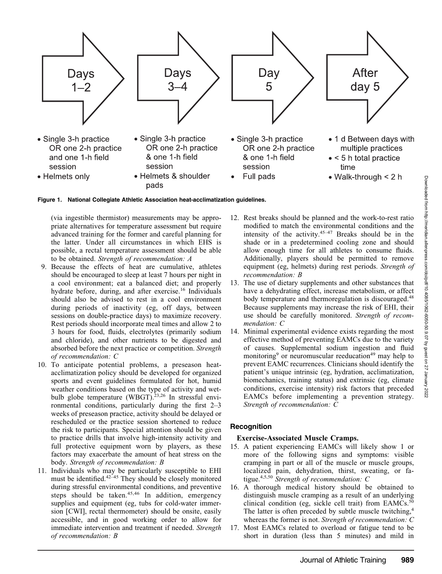

Figure 1. National Collegiate Athletic Association heat-acclimatization guidelines.

(via ingestible thermistor) measurements may be appropriate alternatives for temperature assessment but require advanced training for the former and careful planning for the latter. Under all circumstances in which EHS is possible, a rectal temperature assessment should be able to be obtained. Strength of recommendation: A

- 9. Because the effects of heat are cumulative, athletes should be encouraged to sleep at least 7 hours per night in a cool environment; eat a balanced diet; and properly hydrate before, during, and after exercise.<sup>16</sup> Individuals should also be advised to rest in a cool environment during periods of inactivity (eg, off days, between sessions on double-practice days) to maximize recovery. Rest periods should incorporate meal times and allow 2 to 3 hours for food, fluids, electrolytes (primarily sodium and chloride), and other nutrients to be digested and absorbed before the next practice or competition. Strength of recommendation: C
- 10. To anticipate potential problems, a preseason heatacclimatization policy should be developed for organized sports and event guidelines formulated for hot, humid weather conditions based on the type of activity and wetbulb globe temperature (WBGT). $^{23,26}$  In stressful environmental conditions, particularly during the first 2–3 weeks of preseason practice, activity should be delayed or rescheduled or the practice session shortened to reduce the risk to participants. Special attention should be given to practice drills that involve high-intensity activity and full protective equipment worn by players, as these factors may exacerbate the amount of heat stress on the body. Strength of recommendation: B
- 11. Individuals who may be particularly susceptible to EHI must be identified.<sup>42-45</sup> They should be closely monitored during stressful environmental conditions, and preventive steps should be taken.<sup>45,46</sup> In addition, emergency supplies and equipment (eg, tubs for cold-water immersion [CWI], rectal thermometer) should be onsite, easily accessible, and in good working order to allow for immediate intervention and treatment if needed. Strength of recommendation: B
- 12. Rest breaks should be planned and the work-to-rest ratio modified to match the environmental conditions and the intensity of the activity. $45-47$  Breaks should be in the shade or in a predetermined cooling zone and should allow enough time for all athletes to consume fluids. Additionally, players should be permitted to remove equipment (eg, helmets) during rest periods. Strength of recommendation: B
- 13. The use of dietary supplements and other substances that have a dehydrating effect, increase metabolism, or affect body temperature and thermoregulation is discouraged.<sup>48</sup> Because supplements may increase the risk of EHI, their use should be carefully monitored. Strength of recommendation: C
- 14. Minimal experimental evidence exists regarding the most effective method of preventing EAMCs due to the variety of causes. Supplemental sodium ingestion and fluid monitoring<sup>9</sup> or neuromuscular reeducation<sup>49</sup> may help to prevent EAMC recurrences. Clinicians should identify the patient's unique intrinsic (eg, hydration, acclimatization, biomechanics, training status) and extrinsic (eg, climate conditions, exercise intensity) risk factors that preceded EAMCs before implementing a prevention strategy. Strength of recommendation: C

# **Recognition**

# Exercise-Associated Muscle Cramps.

- 15. A patient experiencing EAMCs will likely show 1 or more of the following signs and symptoms: visible cramping in part or all of the muscle or muscle groups, localized pain, dehydration, thirst, sweating, or fatigue.<sup>4,5,50</sup> Strength of recommendation: C
- 16. A thorough medical history should be obtained to distinguish muscle cramping as a result of an underlying clinical condition (eg, sickle cell trait) from EAMCs. $50$ The latter is often preceded by subtle muscle twitching,<sup>4</sup> whereas the former is not. Strength of recommendation: C
- 17. Most EAMCs related to overload or fatigue tend to be short in duration (less than 5 minutes) and mild in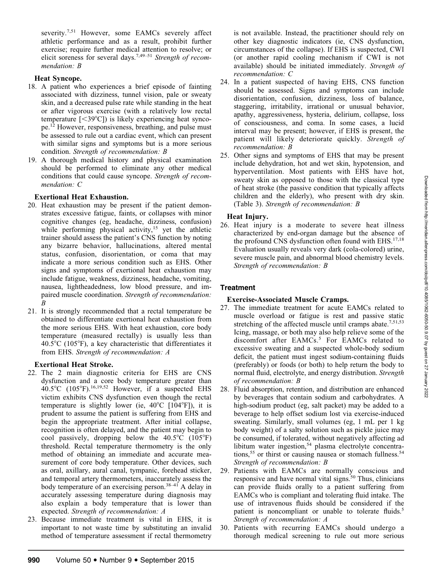severity.<sup>7,51</sup> However, some EAMCs severely affect athletic performance and as a result, prohibit further exercise; require further medical attention to resolve; or elicit soreness for several days.<sup>7,49–51</sup> Strength of recommendation: B

# Heat Syncope.

- 18. A patient who experiences a brief episode of fainting associated with dizziness, tunnel vision, pale or sweaty skin, and a decreased pulse rate while standing in the heat or after vigorous exercise (with a relatively low rectal temperature  $\lceil$ <39°C]) is likely experiencing heat syncope.<sup>12</sup> However, responsiveness, breathing, and pulse must be assessed to rule out a cardiac event, which can present with similar signs and symptoms but is a more serious condition. Strength of recommendation: B
- 19. A thorough medical history and physical examination should be performed to eliminate any other medical conditions that could cause syncope. Strength of recommendation: C

# Exertional Heat Exhaustion.

- 20. Heat exhaustion may be present if the patient demonstrates excessive fatigue, faints, or collapses with minor cognitive changes (eg, headache, dizziness, confusion) while performing physical activity, $15$  yet the athletic trainer should assess the patient's CNS function by noting any bizarre behavior, hallucinations, altered mental status, confusion, disorientation, or coma that may indicate a more serious condition such as EHS. Other signs and symptoms of exertional heat exhaustion may include fatigue, weakness, dizziness, headache, vomiting, nausea, lightheadedness, low blood pressure, and impaired muscle coordination. Strength of recommendation: B
- 21. It is strongly recommended that a rectal temperature be obtained to differentiate exertional heat exhaustion from the more serious EHS. With heat exhaustion, core body temperature (measured rectally) is usually less than  $40.5^{\circ}$ C (105 $^{\circ}$ F), a key characteristic that differentiates it from EHS. Strength of recommendation: A

# Exertional Heat Stroke.

- 22. The 2 main diagnostic criteria for EHS are CNS dysfunction and a core body temperature greater than  $40.5^{\circ}$ C (105°F).<sup>16,19,52</sup> However, if a suspected EHS victim exhibits CNS dysfunction even though the rectal temperature is slightly lower (ie,  $40^{\circ}$ C [104 $^{\circ}$ F]), it is prudent to assume the patient is suffering from EHS and begin the appropriate treatment. After initial collapse, recognition is often delayed, and the patient may begin to cool passively, dropping below the  $40.5^{\circ}$ C (105 $^{\circ}$ F) threshold. Rectal temperature thermometry is the only method of obtaining an immediate and accurate measurement of core body temperature. Other devices, such as oral, axillary, aural canal, tympanic, forehead sticker, and temporal artery thermometers, inaccurately assess the body temperature of an exercising person.<sup>38-41</sup> A delay in accurately assessing temperature during diagnosis may also explain a body temperature that is lower than expected. Strength of recommendation: A
- 23. Because immediate treatment is vital in EHS, it is important to not waste time by substituting an invalid method of temperature assessment if rectal thermometry

is not available. Instead, the practitioner should rely on other key diagnostic indicators (ie, CNS dysfunction, circumstances of the collapse). If EHS is suspected, CWI (or another rapid cooling mechanism if CWI is not available) should be initiated immediately. Strength of recommendation: C

- 24. In a patient suspected of having EHS, CNS function should be assessed. Signs and symptoms can include disorientation, confusion, dizziness, loss of balance, staggering, irritability, irrational or unusual behavior, apathy, aggressiveness, hysteria, delirium, collapse, loss of consciousness, and coma. In some cases, a lucid interval may be present; however, if EHS is present, the patient will likely deteriorate quickly. Strength of recommendation: B
- 25. Other signs and symptoms of EHS that may be present include dehydration, hot and wet skin, hypotension, and hyperventilation. Most patients with EHS have hot, sweaty skin as opposed to those with the classical type of heat stroke (the passive condition that typically affects children and the elderly), who present with dry skin. (Table 3). Strength of recommendation: B

# Heat Injury.

26. Heat injury is a moderate to severe heat illness characterized by end-organ damage but the absence of the profound CNS dysfunction often found with EHS.<sup>17,18</sup> Evaluation usually reveals very dark (cola-colored) urine, severe muscle pain, and abnormal blood chemistry levels. Strength of recommendation: B

# **Treatment**

# Exercise-Associated Muscle Cramps.

- 27. The immediate treatment for acute EAMCs related to muscle overload or fatigue is rest and passive static stretching of the affected muscle until cramps abate.<sup>7,51,53</sup> Icing, massage, or both may also help relieve some of the discomfort after EAMCs.<sup>5</sup> For EAMCs related to excessive sweating and a suspected whole-body sodium deficit, the patient must ingest sodium-containing fluids (preferably) or foods (or both) to help return the body to normal fluid, electrolyte, and energy distribution. Strength of recommendation: B
- 28. Fluid absorption, retention, and distribution are enhanced by beverages that contain sodium and carbohydrates. A high-sodium product (eg, salt packet) may be added to a beverage to help offset sodium lost via exercise-induced sweating. Similarly, small volumes (eg, 1 mL per 1 kg body weight) of a salty solution such as pickle juice may be consumed, if tolerated, without negatively affecting ad libitum water ingestion, $54$  plasma electrolyte concentrations,<sup>55</sup> or thirst or causing nausea or stomach fullness.<sup>54</sup> Strength of recommendation: B
- 29. Patients with EAMCs are normally conscious and responsive and have normal vital signs.<sup>50</sup> Thus, clinicians can provide fluids orally to a patient suffering from EAMCs who is compliant and tolerating fluid intake. The use of intravenous fluids should be considered if the patient is noncompliant or unable to tolerate fluids.<sup>5</sup> Strength of recommendation: A
- 30. Patients with recurring EAMCs should undergo a thorough medical screening to rule out more serious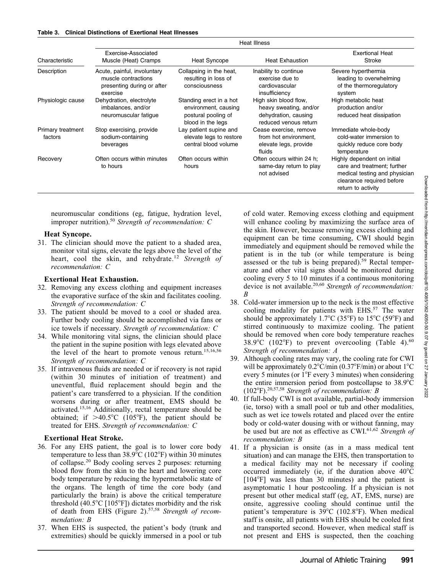| Characteristic               | Exercise-Associated<br>Muscle (Heat) Cramps                                                  | <b>Heat Syncope</b>                                                                         | <b>Heat Exhaustion</b>                                                                           | <b>Exertional Heat</b><br><b>Stroke</b>                                                                                                        |
|------------------------------|----------------------------------------------------------------------------------------------|---------------------------------------------------------------------------------------------|--------------------------------------------------------------------------------------------------|------------------------------------------------------------------------------------------------------------------------------------------------|
| Description                  | Acute, painful, involuntary<br>muscle contractions<br>presenting during or after<br>exercise | Collapsing in the heat,<br>resulting in loss of<br>consciousness                            | Inability to continue<br>exercise due to<br>cardiovascular<br>insufficiency                      | Severe hyperthermia<br>leading to overwhelming<br>of the thermoregulatory<br>system                                                            |
| Physiologic cause            | Dehydration, electrolyte<br>imbalances, and/or<br>neuromuscular fatigue                      | Standing erect in a hot<br>environment, causing<br>postural pooling of<br>blood in the legs | High skin blood flow,<br>heavy sweating, and/or<br>dehydration, causing<br>reduced venous return | High metabolic heat<br>production and/or<br>reduced heat dissipation                                                                           |
| Primary treatment<br>factors | Stop exercising, provide<br>sodium-containing<br>beverages                                   | Lay patient supine and<br>elevate legs to restore<br>central blood volume                   | Cease exercise, remove<br>from hot environment.<br>elevate legs, provide<br>fluids               | Immediate whole-body<br>cold-water immersion to<br>quickly reduce core body<br>temperature                                                     |
| Recovery                     | Often occurs within minutes<br>to hours                                                      | Often occurs within<br>hours                                                                | Often occurs within 24 h;<br>same-day return to play<br>not advised                              | Highly dependent on initial<br>care and treatment; further<br>medical testing and physician<br>clearance required before<br>return to activity |

Heat Illness

neuromuscular conditions (eg, fatigue, hydration level, improper nutrition).<sup>50</sup> Strength of recommendation:  $C$ 

# Heat Syncope.

31. The clinician should move the patient to a shaded area, monitor vital signs, elevate the legs above the level of the heart, cool the skin, and rehydrate.<sup>12</sup> Strength of recommendation: C

# Exertional Heat Exhaustion.

- 32. Removing any excess clothing and equipment increases the evaporative surface of the skin and facilitates cooling. Strength of recommendation: C
- 33. The patient should be moved to a cool or shaded area. Further body cooling should be accomplished via fans or ice towels if necessary. Strength of recommendation: C
- 34. While monitoring vital signs, the clinician should place the patient in the supine position with legs elevated above the level of the heart to promote venous return.<sup>15,16,56</sup> Strength of recommendation: C
- 35. If intravenous fluids are needed or if recovery is not rapid (within 30 minutes of initiation of treatment) and uneventful, fluid replacement should begin and the patient's care transferred to a physician. If the condition worsens during or after treatment, EMS should be activated.15,16 Additionally, rectal temperature should be obtained; if  $>40.5^{\circ}C$  (105°F), the patient should be treated for EHS. Strength of recommendation: C

# Exertional Heat Stroke.

- 36. For any EHS patient, the goal is to lower core body temperature to less than  $38.9^{\circ}$ C (102°F) within 30 minutes of collapse.<sup>20</sup> Body cooling serves 2 purposes: returning blood flow from the skin to the heart and lowering core body temperature by reducing the hypermetabolic state of the organs. The length of time the core body (and particularly the brain) is above the critical temperature threshold  $(40.5^{\circ}C$  [105 $^{\circ}F$ ]) dictates morbidity and the risk of death from EHS (Figure 2).<sup>57,58</sup> Strength of recommendation: B
- 37. When EHS is suspected, the patient's body (trunk and extremities) should be quickly immersed in a pool or tub

of cold water. Removing excess clothing and equipment will enhance cooling by maximizing the surface area of the skin. However, because removing excess clothing and equipment can be time consuming, CWI should begin immediately and equipment should be removed while the patient is in the tub (or while temperature is being assessed or the tub is being prepared).<sup>59</sup> Rectal temperature and other vital signs should be monitored during cooling every 5 to 10 minutes if a continuous monitoring device is not available.<sup>20,60</sup> Strength of recommendation: B

- 38. Cold-water immersion up to the neck is the most effective cooling modality for patients with EHS.<sup>57</sup> The water should be approximately 1.7°C (35°F) to 15°C (59°F) and stirred continuously to maximize cooling. The patient should be removed when core body temperature reaches  $38.9^{\circ}$ C (102°F) to prevent overcooling (Table 4).<sup>60</sup> Strength of recommendation: A
- 39. Although cooling rates may vary, the cooling rate for CWI will be approximately  $0.2^{\circ}$ C/min (0.37°F/min) or about 1°C every 5 minutes (or  $1^{\circ}$ F every 3 minutes) when considering the entire immersion period from postcollapse to  $38.9^{\circ}$ C (102°F).<sup>20,57,58</sup> Strength of recommendation: B
- 40. If full-body CWI is not available, partial-body immersion (ie, torso) with a small pool or tub and other modalities, such as wet ice towels rotated and placed over the entire body or cold-water dousing with or without fanning, may be used but are not as effective as  $CWI<sub>0.62</sub>$  Strength of recommendation: B
- 41. If a physician is onsite (as in a mass medical tent situation) and can manage the EHS, then transportation to a medical facility may not be necessary if cooling occurred immediately (ie, if the duration above  $40^{\circ}$ C  $[104\textdegree F]$  was less than 30 minutes) and the patient is asymptomatic 1 hour postcooling. If a physician is not present but other medical staff (eg, AT, EMS, nurse) are onsite, aggressive cooling should continue until the patient's temperature is  $39^{\circ}$ C (102.8°F). When medical staff is onsite, all patients with EHS should be cooled first and transported second. However, when medical staff is not present and EHS is suspected, then the coaching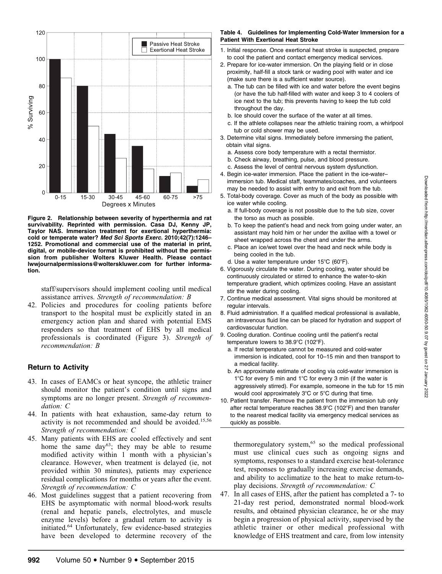

Figure 2. Relationship between severity of hyperthermia and rat survivability. Reprinted with permission. Casa DJ, Kenny JP, Taylor NAS. Immersion treatment for exertional hyperthermia: cold or temperate water? Med Sci Sports Exerc. 2010;42(7):1246– 1252. Promotional and commercial use of the material in print, digital, or mobile-device format is prohibited without the permission from publisher Wolters Kluwer Health. Please contact lwwjournalpermissions@wolterskluwer.com for further information.

staff/supervisors should implement cooling until medical assistance arrives. Strength of recommendation: B

42. Policies and procedures for cooling patients before transport to the hospital must be explicitly stated in an emergency action plan and shared with potential EMS responders so that treatment of EHS by all medical professionals is coordinated (Figure 3). Strength of recommendation: B

# Return to Activity

- 43. In cases of EAMCs or heat syncope, the athletic trainer should monitor the patient's condition until signs and symptoms are no longer present. Strength of recommendation: C
- 44. In patients with heat exhaustion, same-day return to activity is not recommended and should be avoided.<sup>15,56</sup> Strength of recommendation: C
- 45. Many patients with EHS are cooled effectively and sent home the same day<sup>63</sup>; they may be able to resume modified activity within 1 month with a physician's clearance. However, when treatment is delayed (ie, not provided within 30 minutes), patients may experience residual complications for months or years after the event. Strength of recommendation: C
- 46. Most guidelines suggest that a patient recovering from EHS be asymptomatic with normal blood-work results (renal and hepatic panels, electrolytes, and muscle enzyme levels) before a gradual return to activity is initiated.<sup>64</sup> Unfortunately, few evidence-based strategies have been developed to determine recovery of the

#### Table 4. Guidelines for Implementing Cold-Water Immersion for a Patient With Exertional Heat Stroke

- 1. Initial response. Once exertional heat stroke is suspected, prepare to cool the patient and contact emergency medical services.
- 2. Prepare for ice-water immersion. On the playing field or in close proximity, half-fill a stock tank or wading pool with water and ice (make sure there is a sufficient water source).
	- a. The tub can be filled with ice and water before the event begins (or have the tub half-filled with water and keep 3 to 4 coolers of ice next to the tub; this prevents having to keep the tub cold throughout the day.
	- b. Ice should cover the surface of the water at all times.
	- c. If the athlete collapses near the athletic training room, a whirlpool tub or cold shower may be used.
- 3. Determine vital signs. Immediately before immersing the patient, obtain vital signs.
	- a. Assess core body temperature with a rectal thermistor.
	- b. Check airway, breathing, pulse, and blood pressure.
	- c. Assess the level of central nervous system dysfunction.
- 4. Begin ice-water immersion. Place the patient in the ice-water– immersion tub. Medical staff, teammates/coaches, and volunteers may be needed to assist with entry to and exit from the tub.
- 5. Total-body coverage. Cover as much of the body as possible with ice water while cooling.
	- a. If full-body coverage is not possible due to the tub size, cover the torso as much as possible.
	- b. To keep the patient's head and neck from going under water, an assistant may hold him or her under the axillae with a towel or sheet wrapped across the chest and under the arms.
	- c. Place an ice/wet towel over the head and neck while body is being cooled in the tub.
	- d. Use a water temperature under  $15^{\circ}$ C (60 $^{\circ}$ F).
- 6. Vigorously circulate the water. During cooling, water should be continuously circulated or stirred to enhance the water-to-skin temperature gradient, which optimizes cooling. Have an assistant stir the water during cooling.
- 7. Continue medical assessment. Vital signs should be monitored at regular intervals.
- 8. Fluid administration. If a qualified medical professional is available, an intravenous fluid line can be placed for hydration and support of cardiovascular function.
- 9. Cooling duration. Continue cooling until the patient's rectal temperature lowers to 38.9°C (102°F).
	- a. If rectal temperature cannot be measured and cold-water immersion is indicated, cool for 10–15 min and then transport to a medical facility.
	- b. An approximate estimate of cooling via cold-water immersion is  $1^{\circ}$ C for every 5 min and  $1^{\circ}$ C for every 3 min (if the water is aggressively stirred). For example, someone in the tub for 15 min would cool approximately  $3^{\circ}$ C or  $5^{\circ}$ C during that time.
- 10. Patient transfer. Remove the patient from the immersion tub only after rectal temperature reaches  $38.9^{\circ}$ C (102 $^{\circ}$ F) and then transfer to the nearest medical facility via emergency medical services as quickly as possible.

thermoregulatory system,<sup>65</sup> so the medical professional must use clinical cues such as ongoing signs and symptoms, responses to a standard exercise heat-tolerance test, responses to gradually increasing exercise demands, and ability to acclimatize to the heat to make return-toplay decisions. Strength of recommendation: C

47. In all cases of EHS, after the patient has completed a 7- to 21-day rest period, demonstrated normal blood-work results, and obtained physician clearance, he or she may begin a progression of physical activity, supervised by the athletic trainer or other medical professional with knowledge of EHS treatment and care, from low intensity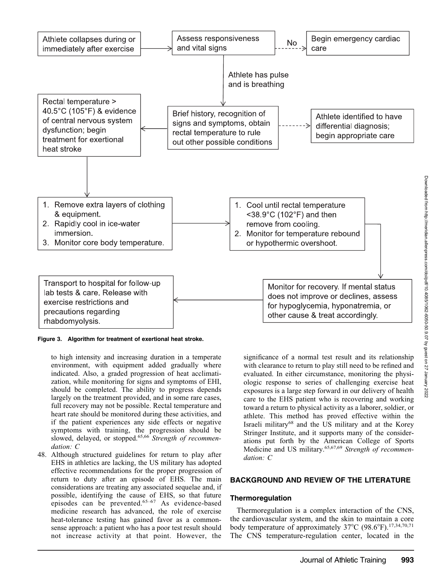

Figure 3. Algorithm for treatment of exertional heat stroke.

to high intensity and increasing duration in a temperate environment, with equipment added gradually where indicated. Also, a graded progression of heat acclimatization, while monitoring for signs and symptoms of EHI, should be completed. The ability to progress depends largely on the treatment provided, and in some rare cases, full recovery may not be possible. Rectal temperature and heart rate should be monitored during these activities, and if the patient experiences any side effects or negative symptoms with training, the progression should be slowed, delayed, or stopped.<sup>65,66</sup> Strength of recommendation: C

48. Although structured guidelines for return to play after EHS in athletics are lacking, the US military has adopted effective recommendations for the proper progression of return to duty after an episode of EHS. The main considerations are treating any associated sequelae and, if possible, identifying the cause of EHS, so that future episodes can be prevented.65–67 As evidence-based medicine research has advanced, the role of exercise heat-tolerance testing has gained favor as a commonsense approach: a patient who has a poor test result should not increase activity at that point. However, the

significance of a normal test result and its relationship with clearance to return to play still need to be refined and evaluated. In either circumstance, monitoring the physiologic response to series of challenging exercise heat exposures is a large step forward in our delivery of health care to the EHS patient who is recovering and working toward a return to physical activity as a laborer, soldier, or athlete. This method has proved effective within the Israeli military<sup>68</sup> and the US military and at the Korey Stringer Institute, and it supports many of the considerations put forth by the American College of Sports Medicine and US military.<sup>65,67,69</sup> Strength of recommendation: C

# BACKGROUND AND REVIEW OF THE LITERATURE

#### **Thermoregulation**

Thermoregulation is a complex interaction of the CNS, the cardiovascular system, and the skin to maintain a core body temperature of approximately  $37^{\circ}$ C (98.6°F).<sup>17,34,70,71</sup> The CNS temperature-regulation center, located in the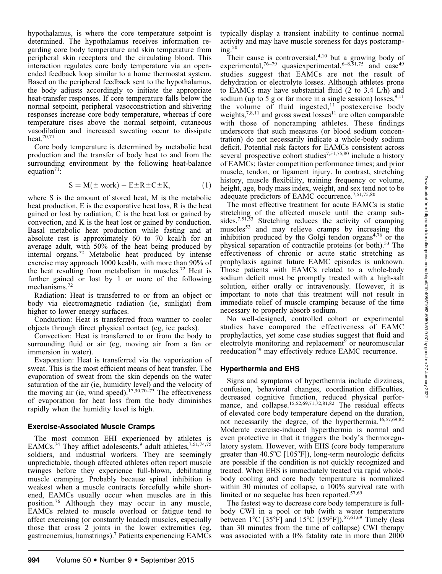hypothalamus, is where the core temperature setpoint is determined. The hypothalamus receives information regarding core body temperature and skin temperature from peripheral skin receptors and the circulating blood. This interaction regulates core body temperature via an openended feedback loop similar to a home thermostat system. Based on the peripheral feedback sent to the hypothalamus, the body adjusts accordingly to initiate the appropriate heat-transfer responses. If core temperature falls below the normal setpoint, peripheral vasoconstriction and shivering responses increase core body temperature, whereas if core temperature rises above the normal setpoint, cutaneous vasodilation and increased sweating occur to dissipate heat.70,71

Core body temperature is determined by metabolic heat production and the transfer of body heat to and from the surrounding environment by the following heat-balance equation<sup>71</sup>:

$$
S = M(\pm work) - E \pm R \pm C \pm K, \qquad (1)
$$

where S is the amount of stored heat, M is the metabolic heat production, E is the evaporative heat loss, R is the heat gained or lost by radiation, C is the heat lost or gained by convection, and K is the heat lost or gained by conduction. Basal metabolic heat production while fasting and at absolute rest is approximately 60 to 70 kcal/h for an average adult, with 50% of the heat being produced by internal organs.<sup>72</sup> Metabolic heat produced by intense exercise may approach 1000 kcal/h, with more than 90% of the heat resulting from metabolism in muscles.<sup>72</sup> Heat is further gained or lost by 1 or more of the following mechanisms.72

Radiation: Heat is transferred to or from an object or body via electromagnetic radiation (ie, sunlight) from higher to lower energy surfaces.

Conduction: Heat is transferred from warmer to cooler objects through direct physical contact (eg, ice packs).

Convection: Heat is transferred to or from the body to surrounding fluid or air (eg, moving air from a fan or immersion in water).

Evaporation: Heat is transferred via the vaporization of sweat. This is the most efficient means of heat transfer. The evaporation of sweat from the skin depends on the water saturation of the air (ie, humidity level) and the velocity of the moving air (ie, wind speed).<sup>17,30,70–73</sup> The effectiveness of evaporation for heat loss from the body diminishes rapidly when the humidity level is high.

#### Exercise-Associated Muscle Cramps

The most common EHI experienced by athletes is EAMCs.<sup>74</sup> They afflict adolescents,<sup>9</sup> adult athletes,<sup>7,51,74,75</sup> soldiers, and industrial workers. They are seemingly unpredictable, though affected athletes often report muscle twinges before they experience full-blown, debilitating muscle cramping. Probably because spinal inhibition is weakest when a muscle contracts forcefully while shortened, EAMCs usually occur when muscles are in this position.<sup>76</sup> Although they may occur in any muscle, EAMCs related to muscle overload or fatigue tend to affect exercising (or constantly loaded) muscles, especially those that cross 2 joints in the lower extremities (eg, gastrocnemius, hamstrings).7 Patients experiencing EAMCs

typically display a transient inability to continue normal activity and may have muscle soreness for days postcramp $ine.50$ 

Their cause is controversial,<sup>4,10</sup> but a growing body of experimental,<sup>76–79</sup> quasiexperimental,<sup>6–8,51,75</sup> and case<sup>49</sup> studies suggest that EAMCs are not the result of dehydration or electrolyte losses. Although athletes prone to EAMCs may have substantial fluid (2 to 3.4 L/h) and sodium (up to 5 g or far more in a single session) losses,  $9,11$ the volume of fluid ingested, $11$  postexercise body weights,<sup>7,8,11</sup> and gross sweat losses<sup>11</sup> are often comparable with those of noncramping athletes. These findings underscore that such measures (or blood sodium concentration) do not necessarily indicate a whole-body sodium deficit. Potential risk factors for EAMCs consistent across several prospective cohort studies<sup>7,51,75,80</sup> include a history of EAMCs; faster competition performance times; and prior muscle, tendon, or ligament injury. In contrast, stretching history, muscle flexibility, training frequency or volume, height, age, body mass index, weight, and sex tend not to be adequate predictors of EAMC occurrence.<sup>7,51,75,80</sup>

The most effective treatment for acute EAMCs is static stretching of the affected muscle until the cramp subsides.<sup>7,51,53</sup> Stretching reduces the activity of cramping muscles<sup>53</sup> and may relieve cramps by increasing the inhibition produced by the Golgi tendon organs $4,76$  or the physical separation of contractile proteins (or both).<sup>53</sup> The effectiveness of chronic or acute static stretching as prophylaxis against future EAMC episodes is unknown. Those patients with EAMCs related to a whole-body sodium deficit must be promptly treated with a high-salt solution, either orally or intravenously. However, it is important to note that this treatment will not result in immediate relief of muscle cramping because of the time necessary to properly absorb sodium.

No well-designed, controlled cohort or experimental studies have compared the effectiveness of EAMC prophylactics, yet some case studies suggest that fluid and electrolyte monitoring and replacement<sup>9</sup> or neuromuscular reeducation<sup>49</sup> may effectively reduce EAMC recurrence.

#### Hyperthermia and EHS

Signs and symptoms of hyperthermia include dizziness, confusion, behavioral changes, coordination difficulties, decreased cognitive function, reduced physical performance, and collapse.<sup>15,52,69,71,72,81,82</sup> The residual effects of elevated core body temperature depend on the duration, not necessarily the degree, of the hyperthermia.<sup>46,57,69,82</sup> Moderate exercise-induced hyperthermia is normal and even protective in that it triggers the body's thermoregulatory system. However, with EHS (core body temperature greater than  $40.5^{\circ}C$  [105 $^{\circ}F$ ]), long-term neurologic deficits are possible if the condition is not quickly recognized and treated. When EHS is immediately treated via rapid wholebody cooling and core body temperature is normalized within 30 minutes of collapse, a 100% survival rate with limited or no sequelae has been reported.<sup>57,69</sup>

The fastest way to decrease core body temperature is fullbody CWI in a pool or tub (with a water temperature between  $1^{\circ}$ C [35<sup>°</sup>F] and  $15^{\circ}$ C [(59<sup>°</sup>F]).<sup>57,61,69</sup> Timely (less than 30 minutes from the time of collapse) CWI therapy was associated with a 0% fatality rate in more than 2000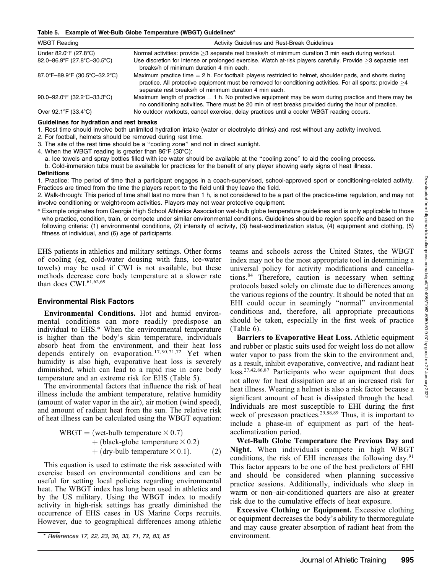#### Table 5. Example of Wet-Bulb Globe Temperature (WBGT) Guidelines<sup>a</sup>

| <b>WBGT Reading</b>                        | Activity Guidelines and Rest-Break Guidelines                                                                                                                                                                                                                                       |  |
|--------------------------------------------|-------------------------------------------------------------------------------------------------------------------------------------------------------------------------------------------------------------------------------------------------------------------------------------|--|
| Under $82.0^{\circ}$ F (27.8 $^{\circ}$ C) | Normal activities: provide >3 separate rest breaks/h of minimum duration 3 min each during workout.                                                                                                                                                                                 |  |
| 82.0-86.9°F (27.8°C-30.5°C)                | Use discretion for intense or prolonged exercise. Watch at-risk players carefully. Provide >3 separate rest<br>breaks/h of minimum duration 4 min each.                                                                                                                             |  |
| 87.0°F-89.9°F (30.5°C-32.2°C)              | Maximum practice time = 2 h. For football: players restricted to helmet, shoulder pads, and shorts during<br>practice. All protective equipment must be removed for conditioning activities. For all sports: provide $>4$<br>separate rest breaks/h of minimum duration 4 min each. |  |
| 90.0-92.0°F (32.2°C-33.3°C)                | Maximum length of practice $= 1$ h. No protective equipment may be worn during practice and there may be<br>no conditioning activities. There must be 20 min of rest breaks provided during the hour of practice.                                                                   |  |
| Over 92.1°F (33.4°C)                       | No outdoor workouts, cancel exercise, delay practices until a cooler WBGT reading occurs.                                                                                                                                                                                           |  |

#### Guidelines for hydration and rest breaks

1. Rest time should involve both unlimited hydration intake (water or electrolyte drinks) and rest without any activity involved.

- 2. For football, helmets should be removed during rest time.
- 3. The site of the rest time should be a ''cooling zone'' and not in direct sunlight.
- 4. When the WBGT reading is greater than  $86^{\circ}F$  (30 $^{\circ}C$ ):

a. Ice towels and spray bottles filled with ice water should be available at the ''cooling zone'' to aid the cooling process.

b. Cold-immersion tubs must be available for practices for the benefit of any player showing early signs of heat illness.

#### **Definitions**

1. Practice: The period of time that a participant engages in a coach-supervised, school-approved sport or conditioning-related activity. Practices are timed from the time the players report to the field until they leave the field.

2. Walk-through: This period of time shall last no more than 1 h, is not considered to be a part of the practice-time regulation, and may not involve conditioning or weight-room activities. Players may not wear protective equipment.

a Example originates from Georgia High School Athletics Association wet-bulb globe temperature guidelines and is only applicable to those who practice, condition, train, or compete under similar environmental conditions. Guidelines should be region specific and based on the following criteria: (1) environmental conditions, (2) intensity of activity, (3) heat-acclimatization status, (4) equipment and clothing, (5) fitness of individual, and (6) age of participants.

EHS patients in athletics and military settings. Other forms of cooling (eg, cold-water dousing with fans, ice-water towels) may be used if CWI is not available, but these methods decrease core body temperature at a slower rate than does CWI.<sup>61,62,69</sup>

#### Environmental Risk Factors

Environmental Conditions. Hot and humid environmental conditions can more readily predispose an individual to EHS.\* When the environmental temperature is higher than the body's skin temperature, individuals absorb heat from the environment, and their heat loss depends entirely on evaporation.<sup>17,30,71,72</sup> Yet when humidity is also high, evaporative heat loss is severely diminished, which can lead to a rapid rise in core body temperature and an extreme risk for EHS (Table 5).

The environmental factors that influence the risk of heat illness include the ambient temperature, relative humidity (amount of water vapor in the air), air motion (wind speed), and amount of radiant heat from the sun. The relative risk of heat illness can be calculated using the WBGT equation:

\n
$$
\text{WBGT} = (\text{wet-bulb temperature} \times 0.7) \\
+ (\text{black-globe temperature} \times 0.2) \\
+ (\text{dry-bulb temperature} \times 0.1).
$$
\n

This equation is used to estimate the risk associated with exercise based on environmental conditions and can be useful for setting local policies regarding environmental heat. The WBGT index has long been used in athletics and by the US military. Using the WBGT index to modify activity in high-risk settings has greatly diminished the occurrence of EHS cases in US Marine Corps recruits. However, due to geographical differences among athletic

\* References 17, 22, 23, 30, 33, 71, 72, 83, 85

teams and schools across the United States, the WBGT index may not be the most appropriate tool in determining a universal policy for activity modifications and cancellations.<sup>84</sup> Therefore, caution is necessary when setting protocols based solely on climate due to differences among the various regions of the country. It should be noted that an EHI could occur in seemingly ''normal'' environmental conditions and, therefore, all appropriate precautions should be taken, especially in the first week of practice (Table 6).

Barriers to Evaporative Heat Loss. Athletic equipment and rubber or plastic suits used for weight loss do not allow water vapor to pass from the skin to the environment and, as a result, inhibit evaporative, convective, and radiant heat loss.27,42,86,87 Participants who wear equipment that does not allow for heat dissipation are at an increased risk for heat illness. Wearing a helmet is also a risk factor because a significant amount of heat is dissipated through the head. Individuals are most susceptible to EHI during the first week of preseason practices.<sup>29,88,89</sup> Thus, it is important to include a phase-in of equipment as part of the heatacclimatization period.

Wet-Bulb Globe Temperature the Previous Day and Night. When individuals compete in high WBGT conditions, the risk of EHI increases the following day. $91$ This factor appears to be one of the best predictors of EHI and should be considered when planning successive practice sessions. Additionally, individuals who sleep in warm or non–air-conditioned quarters are also at greater risk due to the cumulative effects of heat exposure.

Excessive Clothing or Equipment. Excessive clothing or equipment decreases the body's ability to thermoregulate and may cause greater absorption of radiant heat from the environment.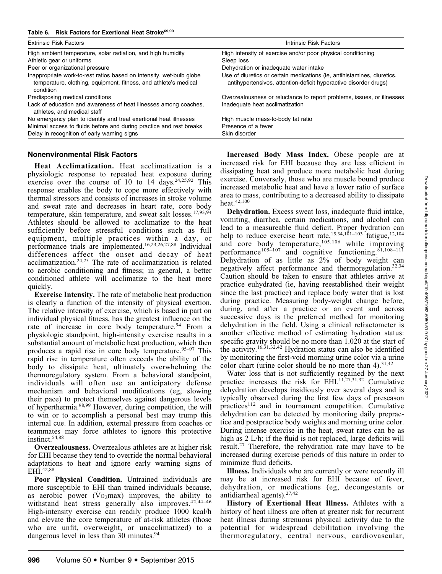| <b>Extrinsic Risk Factors</b>                                                                                                                         | Intrinsic Risk Factors                                                                                                                      |  |
|-------------------------------------------------------------------------------------------------------------------------------------------------------|---------------------------------------------------------------------------------------------------------------------------------------------|--|
| High ambient temperature, solar radiation, and high humidity                                                                                          | High intensity of exercise and/or poor physical conditioning                                                                                |  |
| Athletic gear or uniforms                                                                                                                             | Sleep loss                                                                                                                                  |  |
| Peer or organizational pressure                                                                                                                       | Dehydration or inadequate water intake                                                                                                      |  |
| Inappropriate work-to-rest ratios based on intensity, wet-bulb globe<br>temperature, clothing, equipment, fitness, and athlete's medical<br>condition | Use of diuretics or certain medications (ie, antihistamines, diuretics,<br>antihypertensives, attention-deficit hyperactive disorder drugs) |  |
| Predisposing medical conditions                                                                                                                       | Overzealousness or reluctance to report problems, issues, or illnesses                                                                      |  |
| Lack of education and awareness of heat illnesses among coaches,<br>athletes, and medical staff                                                       | Inadequate heat acclimatization                                                                                                             |  |
| No emergency plan to identify and treat exertional heat illnesses                                                                                     | High muscle mass-to-body fat ratio                                                                                                          |  |
| Minimal access to fluids before and during practice and rest breaks                                                                                   | Presence of a fever                                                                                                                         |  |
| Delay in recognition of early warning signs                                                                                                           | Skin disorder                                                                                                                               |  |

# Nonenvironmental Risk Factors

Heat Acclimatization. Heat acclimatization is a physiologic response to repeated heat exposure during exercise over the course of 10 to 14 days.<sup>24,25,92</sup> This response enables the body to cope more effectively with thermal stressors and consists of increases in stroke volume and sweat rate and decreases in heart rate, core body temperature, skin temperature, and sweat salt losses.<sup>17,93,54</sup> Athletes should be allowed to acclimatize to the heat sufficiently before stressful conditions such as full equipment, multiple practices within a day, or performance trials are implemented.16,23,26,27,88 Individual differences affect the onset and decay of heat acclimatization.24,25 The rate of acclimatization is related to aerobic conditioning and fitness; in general, a better conditioned athlete will acclimatize to the heat more quickly.

Exercise Intensity. The rate of metabolic heat production is clearly a function of the intensity of physical exertion. The relative intensity of exercise, which is based in part on individual physical fitness, has the greatest influence on the rate of increase in core body temperature.<sup>94</sup> From a physiologic standpoint, high-intensity exercise results in a substantial amount of metabolic heat production, which then produces a rapid rise in core body temperature.  $95-97$  This rapid rise in temperature often exceeds the ability of the body to dissipate heat, ultimately overwhelming the thermoregulatory system. From a behavioral standpoint, individuals will often use an anticipatory defense mechanism and behavioral modifications (eg, slowing their pace) to protect themselves against dangerous levels of hyperthermia.98,99 However, during competition, the will to win or to accomplish a personal best may trump this internal cue. In addition, external pressure from coaches or teammates may force athletes to ignore this protective instinct.54,88

Overzealousness. Overzealous athletes are at higher risk for EHI because they tend to override the normal behavioral adaptations to heat and ignore early warning signs of EHI.<sup>42,88</sup>

Poor Physical Condition. Untrained individuals are more susceptible to EHI than trained individuals because, as aerobic power ( $\overline{V_{O2}}$ max) improves, the ability to withstand heat stress generally also improves.<sup>42,44-46</sup> High-intensity exercise can readily produce 1000 kcal/h and elevate the core temperature of at-risk athletes (those who are unfit, overweight, or unacclimatized) to a dangerous level in less than 30 minutes.<sup>94</sup>

Increased Body Mass Index. Obese people are at increased risk for EHI because they are less efficient in dissipating heat and produce more metabolic heat during exercise. Conversely, those who are muscle bound produce increased metabolic heat and have a lower ratio of surface area to mass, contributing to a decreased ability to dissipate heat.<sup>42,100</sup>

Dehydration. Excess sweat loss, inadequate fluid intake, vomiting, diarrhea, certain medications, and alcohol can lead to a measureable fluid deficit. Proper hydration can help to reduce exercise heart rate,<sup>15,34,101–103</sup> fatigue,<sup>12,104</sup> and core body temperature,  $105,106$  while improving performance<sup>105–107</sup> and cognitive functioning.<sup>81,108–111</sup> Dehydration of as little as 2% of body weight can negatively affect performance and thermoregulation.<sup>32,34</sup> Caution should be taken to ensure that athletes arrive at practice euhydrated (ie, having reestablished their weight since the last practice) and replace body water that is lost during practice. Measuring body-weight change before, during, and after a practice or an event and across successive days is the preferred method for monitoring dehydration in the field. Using a clinical refractometer is another effective method of estimating hydration status: specific gravity should be no more than 1.020 at the start of the activity.16,31,32,42 Hydration status can also be identified by monitoring the first-void morning urine color via a urine color chart (urine color should be no more than  $4$ ).<sup>31,42</sup>

Water loss that is not sufficiently regained by the next practice increases the risk for EHI. $^{11,27,31,32}$  Cumulative dehydration develops insidiously over several days and is typically observed during the first few days of preseason practices<sup>112</sup> and in tournament competition. Cumulative dehydration can be detected by monitoring daily prepractice and postpractice body weights and morning urine color. During intense exercise in the heat, sweat rates can be as high as 2 L/h; if the fluid is not replaced, large deficits will result.27 Therefore, the rehydration rate may have to be increased during exercise periods of this nature in order to minimize fluid deficits.

Illness. Individuals who are currently or were recently ill may be at increased risk for EHI because of fever, dehydration, or medications (eg, decongestants or antidiarrheal agents). $27,42$ 

History of Exertional Heat Illness. Athletes with a history of heat illness are often at greater risk for recurrent heat illness during strenuous physical activity due to the potential for widespread debilitation involving the thermoregulatory, central nervous, cardiovascular,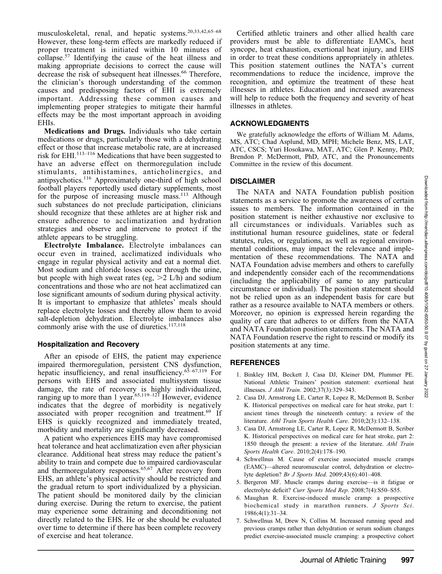musculoskeletal, renal, and hepatic systems.20,33,42,65–68 However, these long-term effects are markedly reduced if proper treatment is initiated within 10 minutes of collapse.<sup>57</sup> Identifying the cause of the heat illness and making appropriate decisions to correct the cause will decrease the risk of subsequent heat illnesses.<sup>66</sup> Therefore, the clinician's thorough understanding of the common causes and predisposing factors of EHI is extremely important. Addressing these common causes and implementing proper strategies to mitigate their harmful effects may be the most important approach in avoiding EHIs.

Medications and Drugs. Individuals who take certain medications or drugs, particularly those with a dehydrating effect or those that increase metabolic rate, are at increased risk for EHI.113–116 Medications that have been suggested to have an adverse effect on thermoregulation include stimulants, antihistamines, anticholinergics, and antipsychotics.116 Approximately one-third of high school football players reportedly used dietary supplements, most for the purpose of increasing muscle mass.<sup>113</sup> Although such substances do not preclude participation, clinicians should recognize that these athletes are at higher risk and ensure adherence to acclimatization and hydration strategies and observe and intervene to protect if the athlete appears to be struggling.

Electrolyte Imbalance. Electrolyte imbalances can occur even in trained, acclimatized individuals who engage in regular physical activity and eat a normal diet. Most sodium and chloride losses occur through the urine, but people with high sweat rates (eg,  $>2$  L/h) and sodium concentrations and those who are not heat acclimatized can lose significant amounts of sodium during physical activity. It is important to emphasize that athletes' meals should replace electrolyte losses and thereby allow them to avoid salt-depletion dehydration. Electrolyte imbalances also commonly arise with the use of diuretics.<sup>117,118</sup>

# Hospitalization and Recovery

After an episode of EHS, the patient may experience impaired thermoregulation, persistent CNS dysfunction, hepatic insufficiency, and renal insufficiency.<sup>65–67,119</sup> For persons with EHS and associated multisystem tissue damage, the rate of recovery is highly individualized, ranging up to more than 1 year.<sup>65,119–121</sup> However, evidence indicates that the degree of morbidity is negatively associated with proper recognition and treatment.<sup>69</sup> If EHS is quickly recognized and immediately treated, morbidity and mortality are significantly decreased.

A patient who experiences EHS may have compromised heat tolerance and heat acclimatization even after physician clearance. Additional heat stress may reduce the patient's ability to train and compete due to impaired cardiovascular and thermoregulatory responses.<sup>65,67</sup> After recovery from EHS, an athlete's physical activity should be restricted and the gradual return to sport individualized by a physician. The patient should be monitored daily by the clinician during exercise. During the return to exercise, the patient may experience some detraining and deconditioning not directly related to the EHS. He or she should be evaluated over time to determine if there has been complete recovery of exercise and heat tolerance.

Certified athletic trainers and other allied health care providers must be able to differentiate EAMCs, heat syncope, heat exhaustion, exertional heat injury, and EHS in order to treat these conditions appropriately in athletes. This position statement outlines the NATA's current recommendations to reduce the incidence, improve the recognition, and optimize the treatment of these heat illnesses in athletes. Education and increased awareness will help to reduce both the frequency and severity of heat illnesses in athletes.

# ACKNOWLEDGMENTS

We gratefully acknowledge the efforts of William M. Adams, MS, ATC; Chad Asplund, MD, MPH; Michele Benz, MS, LAT, ATC, CSCS; Yuri Hosokawa, MAT, ATC; Glen P. Kenny, PhD; Brendon P. McDermott, PhD, ATC, and the Pronouncements Committee in the review of this document.

# **DISCLAIMER**

The NATA and NATA Foundation publish position statements as a service to promote the awareness of certain issues to members. The information contained in the position statement is neither exhaustive nor exclusive to all circumstances or individuals. Variables such as institutional human resource guidelines, state or federal statutes, rules, or regulations, as well as regional environmental conditions, may impact the relevance and implementation of these recommendations. The NATA and NATA Foundation advise members and others to carefully and independently consider each of the recommendations (including the applicability of same to any particular circumstance or individual). The position statement should not be relied upon as an independent basis for care but rather as a resource available to NATA members or others. Moreover, no opinion is expressed herein regarding the quality of care that adheres to or differs from the NATA and NATA Foundation position statements. The NATA and NATA Foundation reserve the right to rescind or modify its position statements at any time.

# REFERENCES

- 1. Binkley HM, Beckett J, Casa DJ, Kleiner DM, Plummer PE. National Athletic Trainers' position statement: exertional heat illnesses. J Athl Train. 2002;37(3):329–343.
- 2. Casa DJ, Armstrong LE, Carter R, Lopez R, McDermott B, Scriber K. Historical perspectives on medical care for heat stroke, part 1: ancient times through the nineteenth century: a review of the literature. Athl Train Sports Health Care. 2010;2(3):132–138.
- 3. Casa DJ, Armstrong LE, Carter R, Lopez R, McDermott B, Scriber K. Historical perspectives on medical care for heat stroke, part 2: 1850 through the present: a review of the literature. Athl Train Sports Health Care. 2010;2(4):178–190.
- 4. Schwellnus M. Cause of exercise associated muscle cramps (EAMC)—altered neuromuscular control, dehydration or electrolyte depletion? Br J Sports Med. 2009;43(6):401–408.
- 5. Bergeron MF. Muscle cramps during exercise—is it fatigue or electrolyte deficit? Curr Sports Med Rep. 2008;7(4):S50–S55.
- 6. Maughan R. Exercise-induced muscle cramp: a prospective biochemical study in marathon runners. J Sports Sci. 1986;4(1):31–34.
- 7. Schwellnus M, Drew N, Collins M. Increased running speed and previous cramps rather than dehydration or serum sodium changes predict exercise-associated muscle cramping: a prospective cohort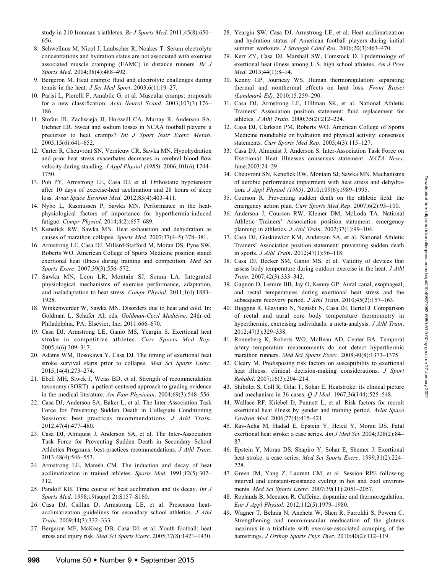concentrations and hydration status are not associated with exercise associated muscle cramping (EAMC) in distance runners. Br J Sports Med. 2004;38(4):488–492.

656.

- 9. Bergeron M. Heat cramps: fluid and electrolyte challenges during tennis in the heat. *J Sci Med Sport.* 2003;6(1):19-27.
- 10. Parisi L, Pierelli F, Amabile G, et al. Muscular cramps: proposals for a new classification. Acta Neurol Scand. 2003;107(3):176– 186.
- 11. Stofan JR, Zachwieja JJ, Horswill CA, Murray R, Anderson SA, Eichner ER. Sweat and sodium losses in NCAA football players: a precursor to heat cramps? Int J Sport Nutr Exerc Metab. 2005;15(6):641–652.
- 12. Carter R, Cheuvront SN, Vernieuw CR, Sawka MN. Hypohydration and prior heat stress exacerbates decreases in cerebral blood flow velocity during standing. J Appl Physiol (1985). 2006;101(6):1744– 1750.
- 13. Poh PY, Armstrong LE, Casa DJ, et al. Orthostatic hypotension after 10 days of exercise-heat acclimation and 28 hours of sleep loss. Aviat Space Environ Med. 2012;83(4):403–411.
- 14. Nybo L, Rasmussen P, Sawka MN. Performance in the heatphysiological factors of importance for hyperthermia-induced fatigue. Compr Physiol. 2014;4(2):657–689.
- 15. Kenefick RW, Sawka MN. Heat exhaustion and dehydration as causes of marathon collapse. Sports Med. 2007;37(4–5):378–381.
- 16. Armstrong LE, Casa DJ, Millard-Stafford M, Moran DS, Pyne SW, Roberts WO. American College of Sports Medicine position stand: exertional heat illness during training and competition. Med Sci Sports Exerc. 2007;39(3):556–572.
- 17. Sawka MN, Leon LR, Montain SJ, Sonna LA. Integrated physiological mechanisms of exercise performance, adaptation, and maladaptation to heat stress. Compr Physiol. 2011;1(4):1883– 1928.
- 18. Winkenwerder W, Sawka MN. Disorders due to heat and cold. In: Goldman L, Schafer AI, eds. Goldman-Cecil Medicine. 24th ed. Philadelphia, PA: Elsevier, Inc; 2011:666–670.
- 19. Casa DJ, Armstrong LE, Ganio MS, Yeargin S. Exertional heat stroke in competitive athletes. Curr Sports Med Rep. 2005;4(6):309–317.
- 20. Adams WM, Hosokawa Y, Casa DJ. The timing of exertional heat stroke survival starts prior to collapse. Med Sci Sports Exerc. 2015;14(4):273–274.
- 21. Ebell MH, Siwek J, Weiss BD, et al. Strength of recommendation taxonomy (SORT): a patient-centered approach to grading evidence in the medical literature. Am Fam Physician. 2004;69(3):548–556.
- 22. Casa DJ, Anderson SA, Baker L, et al. The Inter-Association Task Force for Preventing Sudden Death in Collegiate Conditioning Sessions: best practices recommendations. J Athl Train. 2012;47(4):477–480.
- 23. Casa DJ, Almquist J, Anderson SA, et al. The Inter-Association Task Force for Preventing Sudden Death in Secondary School Athletics Programs: best-practices recommendations. J Athl Train. 2013;48(4):546–553.
- 24. Armstrong LE, Maresh CM. The induction and decay of heat acclimatization in trained athletes. Sports Med. 1991;12(5):302– 312.
- 25. Pandolf KB. Time course of heat acclimation and its decay. Int J Sports Med. 1998;19(suppl 2):S157–S160.
- 26. Casa DJ, Csillan D, Armstrong LE, et al. Preseason heatacclimatization guidelines for secondary school athletics. J Athl Train. 2009;44(3):332–333.
- 27. Bergeron MF, McKeag DB, Casa DJ, et al. Youth football: heat stress and injury risk. Med Sci Sports Exerc. 2005;37(8):1421–1430.
- 28. Yeargin SW, Casa DJ, Armstrong LE, et al. Heat acclimatization and hydration status of American football players during initial summer workouts. J Strength Cond Res. 2006;20(3):463–470.
- 29. Kerr ZY, Casa DJ, Marshall SW, Comstock D. Epidemiology of exertional heat illness among U.S. high school athletes. Am J Prev Med. 2013;44(1):8–14.
- 30. Kenny GP, Journeay WS. Human thermoregulation: separating thermal and nonthermal effects on heat loss. Front Biosci (Landmark Ed). 2010;15:259–290.
- 31. Casa DJ, Armstrong LE, Hillman SK, et al. National Athletic Trainers' Association position statement: fluid replacement for athletes. J Athl Train. 2000;35(2):212–224.
- 32. Casa DJ, Clarkson PM, Roberts WO. American College of Sports Medicine roundtable on hydration and physical activity: consensus statements. Curr Sports Med Rep. 2005;4(3):115–127.
- 33. Casa DJ, Almquist J, Anderson S. Inter-Association Task Force on Exertional Heat Illnesses consensus statement. NATA News. June;2003:24–29.
- 34. Cheuvront SN, Kenefick RW, Montain SJ, Sawka MN. Mechanisms of aerobic performance impairment with heat stress and dehydration. J Appl Physiol (1985). 2010;109(6):1989–1995.
- 35. Courson R. Preventing sudden death on the athletic field: the emergency action plan. Curr Sports Med Rep. 2007;6(2):93-100.
- 36. Anderson J, Courson RW, Kleiner DM, McLoda TA. National Athletic Trainers' Association position statement: emergency planning in athletics.  $J$  Athl Train. 2002;37(1):99-104.
- 37. Casa DJ, Guskiewicz KM, Anderson SA, et al. National Athletic Trainers' Association position statement: preventing sudden death in sports. J Athl Train. 2012;47(1):96–118.
- 38. Casa DJ, Becker SM, Ganio MS, et al. Validity of devices that assess body temperature during outdoor exercise in the heat. J Athl Train. 2007;42(3):333–342.
- 39. Gagnon D, Lemire BB, Jay O, Kenny GP. Aural canal, esophageal, and rectal temperatures during exertional heat stress and the subsequent recovery period. J Athl Train. 2010;45(2):157-163.
- 40. Huggins R, Glaviano N, Negishi N, Casa DJ, Hertel J. Comparison of rectal and aural core body temperature thermometry in hyperthermic, exercising individuals: a meta-analysis. J Athl Train. 2012;47(3):329–338.
- 41. Ronneberg K, Roberts WO, McBean AD, Center BA. Temporal artery temperature measurements do not detect hyperthermic marathon runners. Med Sci Sports Exerc. 2008;40(8):1373–1375.
- 42. Cleary M. Predisposing risk factors on susceptibility to exertional heat illness: clinical decision-making considerations. J Sport Rehabil. 2007;16(3):204–214.
- 43. Shibolet S, Coll R, Gilat T, Sohar E. Heatstroke: its clinical picture and mechanism in 36 cases. Q J Med. 1967;36(144):525–548.
- 44. Wallace RF, Kriebel D, Punnett L, et al. Risk factors for recruit exertional heat illness by gender and training period. Aviat Space Environ Med. 2006;77(4):415–421.
- 45. Rav-Acha M, Hadad E, Epstein Y, Heled Y, Moran DS. Fatal exertional heat stroke: a case series. Am J Med Sci. 2004;328(2):84-87.
- 46. Epstein Y, Moran DS, Shapiro Y, Sohar E, Shemer J. Exertional heat stroke: a case series. Med Sci Sports Exerc. 1999;31(2):224-228.
- 47. Green JM, Yang Z, Laurent CM, et al. Session RPE following interval and constant-resistance cycling in hot and cool environments. Med Sci Sports Exerc. 2007;39(11):2051–2057.
- 48. Roelands B, Meeusen R. Caffeine, dopamine and thermoregulation. Eur J Appl Physiol. 2012;112(5):1979–1980.
- 49. Wagner T, Behnia N, Ancheta W, Shen R, Farrokhi S, Powers C. Strengthening and neuromuscular reeducation of the gluteus maximus in a triathlete with exercise-associated cramping of the hamstrings. J Orthop Sports Phys Ther. 2010;40(2):112-119.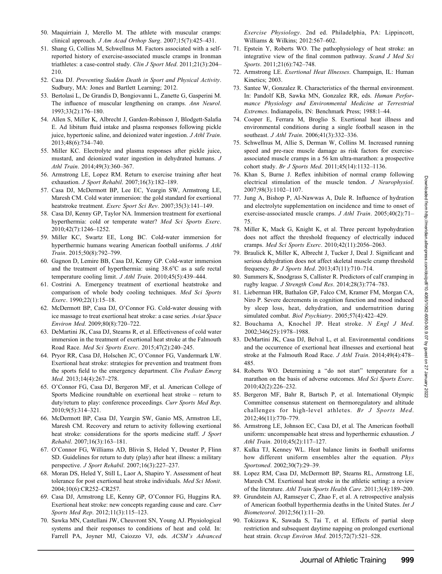- 50. Maquirriain J, Merello M. The athlete with muscular cramps: clinical approach. J Am Acad Orthop Surg. 2007;15(7):425-431.
- 51. Shang G, Collins M, Schwellnus M. Factors associated with a selfreported history of exercise-associated muscle cramps in Ironman triathletes: a case-control study. Clin J Sport Med. 2011;21(3):204– 210.
- 52. Casa DJ. Preventing Sudden Death in Sport and Physical Activity. Sudbury, MA: Jones and Bartlett Learning; 2012.
- 53. Bertolasi L, De Grandis D, Bongiovanni L, Zanette G, Gasperini M. The influence of muscular lengthening on cramps. Ann Neurol. 1993;33(2):176–180.
- 54. Allen S, Miller K, Albrecht J, Garden-Robinson J, Blodgett-Salafia E. Ad libitum fluid intake and plasma responses following pickle juice, hypertonic saline, and deionized water ingestion. J Athl Train. 2013;48(6):734–740.
- 55. Miller KC. Electrolyte and plasma responses after pickle juice, mustard, and deionized water ingestion in dehydrated humans. J Athl Train. 2014;49(3):360–367.
- 56. Armstrong LE, Lopez RM. Return to exercise training after heat exhaustion. J Sport Rehabil. 2007;16(3):182–189.
- 57. Casa DJ, McDermott BP, Lee EC, Yeargin SW, Armstrong LE, Maresh CM. Cold water immersion: the gold standard for exertional heatstroke treatment. Exerc Sport Sci Rev. 2007;35(3):141-149.
- 58. Casa DJ, Kenny GP, Taylor NA. Immersion treatment for exertional hyperthermia: cold or temperate water? Med Sci Sports Exerc. 2010;42(7):1246–1252.
- 59. Miller KC, Swartz EE, Long BC. Cold-water immersion for hyperthermic humans wearing American football uniforms. J Athl Train. 2015;50(8):792–799.
- 60. Gagnon D, Lemire BB, Casa DJ, Kenny GP. Cold-water immersion and the treatment of hyperthermia: using  $38.6^{\circ}$ C as a safe rectal temperature cooling limit. J Athl Train. 2010;45(5):439–444.
- 61. Costrini A. Emergency treatment of exertional heatstroke and comparison of whole body cooling techniques. Med Sci Sports Exerc. 1990;22(1):15–18.
- 62. McDermott BP, Casa DJ, O'Connor FG. Cold-water dousing with ice massage to treat exertional heat stroke: a case series. Aviat Space Environ Med. 2009;80(8):720–722.
- 63. DeMartini JK, Casa DJ, Stearns R, et al. Effectiveness of cold water immersion in the treatment of exertional heat stroke at the Falmouth Road Race. Med Sci Sports Exerc. 2015;47(2):240–245.
- 64. Pryor RR, Casa DJ, Holschen JC, O'Connor FG, Vandermark LW. Exertional heat stroke: strategies for prevention and treatment from the sports field to the emergency department. Clin Pediatr Emerg Med. 2013;14(4):267-278.
- 65. O'Connor FG, Casa DJ, Bergeron MF, et al. American College of Sports Medicine roundtable on exertional heat stroke – return to duty/return to play: conference proceedings. Curr Sports Med Rep. 2010;9(5):314–321.
- 66. McDermott BP, Casa DJ, Yeargin SW, Ganio MS, Armstron LE, Maresh CM. Recovery and return to activity following exertional heat stroke: considerations for the sports medicine staff. J Sport Rehabil. 2007;16(3):163–181.
- 67. O'Connor FG, Williams AD, Blivin S, Heled Y, Deuster P, Flinn SD. Guidelines for return to duty (play) after heat illness: a military perspective. J Sport Rehabil. 2007;16(3):227–237.
- 68. Moran DS, Heled Y, Still L, Laor A, Shapiro Y. Assessment of heat tolerance for post exertional heat stroke individuals. Med Sci Monit. 2004;10(6):CR252–CR257.
- 69. Casa DJ, Armstrong LE, Kenny GP, O'Connor FG, Huggins RA. Exertional heat stroke: new concepts regarding cause and care. Curr Sports Med Rep. 2012;11(3):115-123.
- 70. Sawka MN, Castellani JW, Cheuvront SN, Young AJ. Physiological systems and their responses to conditions of heat and cold. In: Farrell PA, Joyner MJ, Caiozzo VJ, eds. ACSM's Advanced

Exercise Physiology. 2nd ed. Philadelphia, PA: Lippincott, Williams & Wilkins; 2012:567–602.

- 71. Epstein Y, Roberts WO. The pathophysiology of heat stroke: an integrative view of the final common pathway. Scand J Med Sci Sports. 2011;21(6):742-748.
- 72. Armstrong LE. Exertional Heat Illnesses. Champaign, IL: Human Kinetics; 2003.
- 73. Santee W, Gonzalez R. Characteristics of the thermal environment. In: Pandolf KB, Sawka MN, Gonzalez RR, eds. Human Performance Physiology and Environmental Medicine at Terrestrial Extremes. Indianapolis, IN: Benchmark Press; 1988:1–44.
- 74. Cooper E, Ferrara M, Broglio S. Exertional heat illness and environmental conditions during a single football season in the southeast. J Athl Train. 2006;41(3):332–336.
- 75. Schwellnus M, Allie S, Derman W, Collins M. Increased running speed and pre-race muscle damage as risk factors for exerciseassociated muscle cramps in a 56 km ultra-marathon: a prospective cohort study. Br J Sports Med. 2011;45(14):1132–1136.
- 76. Khan S, Burne J. Reflex inhibition of normal cramp following electrical stimulation of the muscle tendon. J Neurophysiol. 2007;98(3):1102–1107.
- 77. Jung A, Bishop P, Al-Nawwas A, Dale R. Influence of hydration and electrolyte supplementation on incidence and time to onset of exercise-associated muscle cramps. J Athl Train. 2005;40(2):71– 75.
- 78. Miller K, Mack G, Knight K, et al. Three percent hypohydration does not affect the threshold frequency of electrically induced cramps. Med Sci Sports Exerc. 2010;42(11):2056–2063.
- 79. Braulick K, Miller K, Albrecht J, Tucker J, Deal J. Significant and serious dehydration does not affect skeletal muscle cramp threshold frequency. Br J Sports Med. 2013;47(11):710-714.
- 80. Summers K, Snodgrass S, Callister R. Predictors of calf cramping in rugby league. J Strength Cond Res. 2014;28(3):774–783.
- 81. Lieberman HR, Bathalon GP, Falco CM, Kramer FM, Morgan CA, Niro P. Severe decrements in cognition function and mood induced by sleep loss, heat, dehydration, and undernutrition during simulated combat. Biol Psychiatry. 2005;57(4):422–429.
- 82. Bouchama A, Knochel JP. Heat stroke. N Engl J Med. 2002;346(25):1978–1988.
- 83. DeMartini JK, Casa DJ, Belval L, et al. Environmental conditions and the occurrence of exertional heat illnesses and exertional heat stroke at the Falmouth Road Race. J Athl Train. 2014;49(4):478– 485.
- 84. Roberts WO. Determining a ''do not start'' temperature for a marathon on the basis of adverse outcomes. Med Sci Sports Exerc. 2010;42(2):226–232.
- 85. Bergeron MF, Bahr R, Bartsch P, et al. International Olympic Committee consensus statement on thermoregulatory and altitude challenges for high-level athletes. Br J Sports Med. 2012;46(11):770–779.
- 86. Armstrong LE, Johnson EC, Casa DJ, et al. The American football uniform: uncompensable heat stress and hyperthermic exhaustion. J Athl Train. 2010;45(2):117–127.
- 87. Kulka TJ, Kenney WL. Heat balance limits in football uniforms how different uniform ensembles alter the equation. Phys Sportsmed. 2002;30(7):29–39.
- 88. Lopez RM, Casa DJ, McDermott BP, Stearns RL, Armstrong LE, Maresh CM. Exertional heat stroke in the athletic setting: a review of the literature. Athl Train Sports Health Care. 2011;3(4):189–200.
- 89. Grundstein AJ, Ramseyer C, Zhao F, et al. A retrospective analysis of American football hyperthermia deaths in the United States. Int J Biometeorol. 2012;56(1):11–20.
- 90. Tokizawa K, Sawada S, Tai T, et al. Effects of partial sleep restriction and subsequent daytime napping on prolonged exertional heat strain. Occup Environ Med. 2015;72(7):521–528.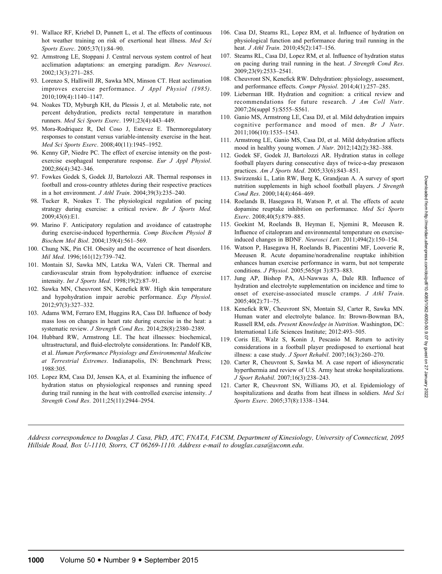- 91. Wallace RF, Kriebel D, Punnett L, et al. The effects of continuous hot weather training on risk of exertional heat illness. Med Sci Sports Exerc. 2005;37(1):84–90.
- 92. Armstrong LE, Stoppani J. Central nervous system control of heat acclimation adaptations: an emerging paradigm. Rev Neurosci. 2002;13(3):271–285.
- 93. Lorenzo S, Halliwill JR, Sawka MN, Minson CT. Heat acclimation improves exercise performance. J Appl Physiol (1985). 2010;109(4):1140–1147.
- 94. Noakes TD, Myburgh KH, du Plessis J, et al. Metabolic rate, not percent dehydration, predicts rectal temperature in marathon runners. Med Sci Sports Exerc. 1991;23(4):443–449.
- 95. Mora-Rodriquez R, Del Coso J, Estevez E. Thermoregulatory responses to constant versus variable-intensity exercise in the heat. Med Sci Sports Exerc. 2008;40(11):1945–1952.
- 96. Kenny GP, Niedre PC. The effect of exercise intensity on the postexercise esophageal temperature response. Eur J Appl Physiol. 2002;86(4):342–346.
- 97. Fowkes Godek S, Godek JJ, Bartolozzi AR. Thermal responses in football and cross-country athletes during their respective practices in a hot environment. J Athl Train. 2004;39(3):235–240.
- 98. Tucker R, Noakes T. The physiological regulation of pacing strategy during exercise: a critical review. Br J Sports Med. 2009;43(6):E1.
- 99. Marino F. Anticipatory regulation and avoidance of catastrophe during exercise-induced hyperthermia. Comp Biochem Physiol B Biochem Mol Biol. 2004;139(4):561–569.
- 100. Chung NK, Pin CH. Obesity and the occurrence of heat disorders. Mil Med. 1996;161(12):739–742.
- 101. Montain SJ, Sawka MN, Latzka WA, Valeri CR. Thermal and cardiovascular strain from hypohydration: influence of exercise intensity. Int J Sports Med. 1998;19(2):87–91.
- 102. Sawka MN, Cheuvront SN, Kenefick RW. High skin temperature and hypohydration impair aerobic performance. Exp Physiol. 2012;97(3):327–332.
- 103. Adams WM, Ferraro EM, Huggins RA, Cass DJ. Influence of body mass loss on changes in heart rate during exercise in the heat: a systematic review. J Strength Cond Res. 2014;28(8):2380–2389.
- 104. Hubbard RW, Armstrong LE. The heat illnesses: biochemical, ultrastructural, and fluid-electrolyte considerations. In: Pandolf KB, et al. Human Performance Physiology and Environmental Medicine at Terrestrial Extremes. Indianapolis, IN: Benchmark Press; 1988:305.
- 105. Lopez RM, Casa DJ, Jensen KA, et al. Examining the influence of hydration status on physiological responses and running speed during trail running in the heat with controlled exercise intensity. J Strength Cond Res. 2011;25(11):2944–2954.
- 106. Casa DJ, Stearns RL, Lopez RM, et al. Influence of hydration on physiological function and performance during trail running in the heat. *J Athl Train*. 2010;45(2):147-156.
- 107. Stearns RL, Casa DJ, Lopez RM, et al. Influence of hydration status on pacing during trail running in the heat. J Strength Cond Res. 2009;23(9):2533–2541.
- 108. Cheuvront SN, Kenefick RW. Dehydration: physiology, assessment, and performance effects. Compr Physiol. 2014;4(1):257–285.
- 109. Lieberman HR. Hydration and cognition: a critical review and recommendations for future research. J Am Coll Nutr. 2007;26(suppl 5):S555–S561.
- 110. Ganio MS, Armstrong LE, Casa DJ, et al. Mild dehydration impairs cognitive performance and mood of men. Br J Nutr. 2011;106(10):1535–1543.
- 111. Armstrong LE, Ganio MS, Casa DJ, et al. Mild dehydration affects mood in healthy young women. J Nutr. 2012;142(2):382–388.
- 112. Godek SF, Godek JJ, Bartolozzi AR. Hydration status in college football players during consecutive days of twice-a-day preseason practices. Am J Sports Med. 2005;33(6):843–851.
- 113. Swirzenski L, Latin RW, Berg K, Grandjean A. A survey of sport nutrition supplements in high school football players. J Strength Cond Res. 2000;14(4):464–469.
- 114. Roelands B, Hasegawa H, Watson P, et al. The effects of acute dopamine reuptake inhibition on performance. Med Sci Sports Exerc. 2008;40(5):879–885.
- 115. Goekint M, Roelands B, Heyman E, Njemini R, Meeusen R. Influence of citalopram and environmental temperature on exerciseinduced changes in BDNF. Neurosci Lett. 2011;494(2):150–154.
- 116. Watson P, Hasegawa H, Roelands B, Piacentini MF, Looverie R, Meeusen R. Acute dopamine/noradrenaline reuptake inhibition enhances human exercise performance in warm, but not temperate conditions. J Physiol. 2005;565(pt 3):873–883.
- 117. Jung AP, Bishop PA, Al-Nawwas A, Dale RB. Influence of hydration and electrolyte supplementation on incidence and time to onset of exercise-associated muscle cramps. J Athl Train. 2005;40(2):71–75.
- 118. Kenefick RW, Cheuvront SN, Montain SJ, Carter R, Sawka MN. Human water and electrolyte balance. In: Brown-Bowman BA, Russell RM, eds. Present Knowledge in Nutrition. Washington, DC: International Life Sciences Institute; 2012:493–505.
- 119. Coris EE, Walz S, Konin J, Pescasio M. Return to activity considerations in a football player predisposed to exertional heat illness: a case study. J Sport Rehabil. 2007;16(3):260–270.
- 120. Carter R, Cheuvront S, Sawka M. A case report of idiosyncratic hyperthermia and review of U.S. Army heat stroke hospitalizations. J Sport Rehabil. 2007;16(3):238–243.
- 121. Carter R, Cheuvront SN, Williams JO, et al. Epidemiology of hospitalizations and deaths from heat illness in soldiers. Med Sci Sports Exerc. 2005;37(8):1338–1344.

Address correspondence to Douglas J. Casa, PhD, ATC, FNATA, FACSM, Department of Kinesiology, University of Connecticut, 2095 Hillside Road, Box U-1110, Storrs, CT 06269-1110. Address e-mail to douglas.casa@uconn.edu.